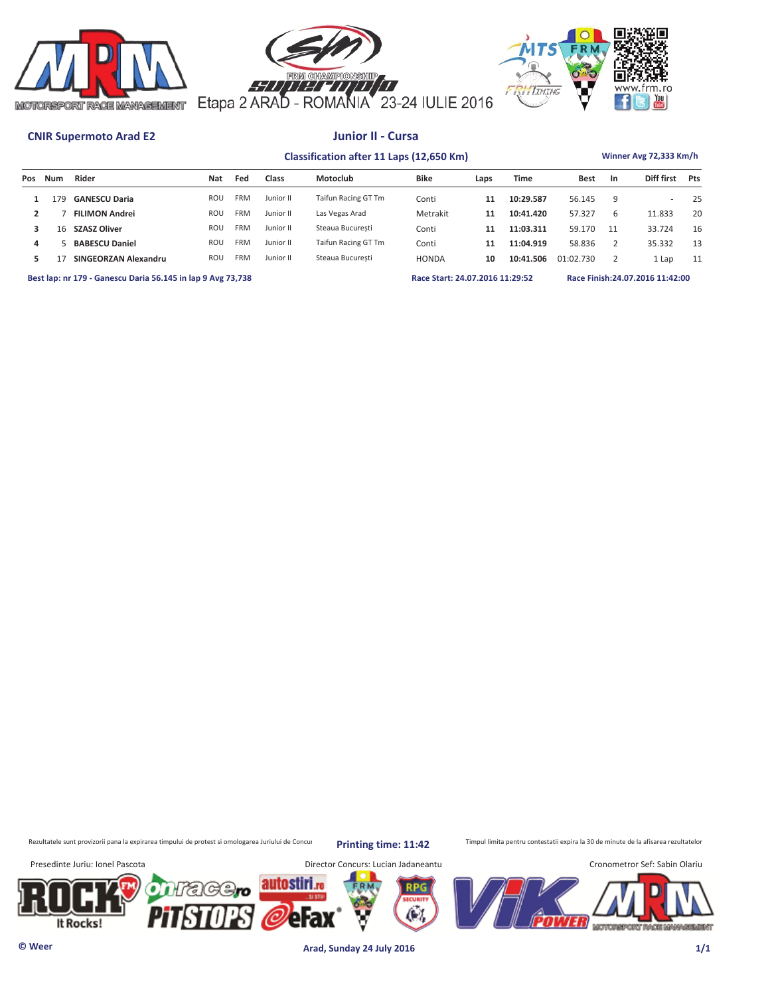





# **CNIR Supermoto Arad E2 Junior II - Cursa**

# **Classification after 11 Laps (12,650 Km) Winner Avg 72,333 Km/h**

| Pos | Num | Rider                                                       | Nat | Fed        | Class     | Motoclub            | <b>Bike</b>                     | Laps | <b>Time</b> | <b>Best</b> | <b>In</b>    | Diff first                       | Pts |
|-----|-----|-------------------------------------------------------------|-----|------------|-----------|---------------------|---------------------------------|------|-------------|-------------|--------------|----------------------------------|-----|
|     | 79  | <b>GANESCU Daria</b>                                        | ROU | <b>FRM</b> | Junior II | Taifun Racing GT Tm | Conti                           | 11   | 10:29.587   | 56.145      | q            |                                  | 25  |
|     |     | <b>FILIMON Andrei</b>                                       | ROU | <b>FRM</b> | Junior II | Las Vegas Arad      | Metrakit                        | 11   | 10:41.420   | 57.327      | <sub>6</sub> | 11.833                           | 20  |
|     | 16  | <b>SZASZ Oliver</b>                                         | ROU | <b>FRM</b> | Junior II | Steaua Bucuresti    | Conti                           | 11   | 11:03.311   | 59.170      |              | 33.724                           | 16  |
| 4   |     | <b>BABESCU Daniel</b>                                       | ROU | <b>FRM</b> | Junior II | Taifun Racing GT Tm | Conti                           | 11   | 11:04.919   | 58.836      |              | 35.332                           | 13  |
| 5   |     | SINGEORZAN Alexandru                                        | ROU | <b>FRM</b> | Junior II | Steaua Bucuresti    | <b>HONDA</b>                    | 10   | 10:41.506   | 01:02.730   |              | 1 Lap                            | 11  |
|     |     | Best lap: nr 179 - Ganescu Daria 56.145 in lap 9 Avg 73,738 |     |            |           |                     | Race Start: 24.07.2016 11:29:52 |      |             |             |              | Race Finish: 24.07.2016 11:42:00 |     |

Rezultatele sunt provizorii pana la expirarea timpului de protest si omologarea Juriului de Concur**pul printin prima: 11:42** Timpul limita pentru contestatii expira la 30 de minute de la afisarea rezultatelor

**Printing time: 11:42**



**© Weer Arad, Sunday 24 July 2016 1/1**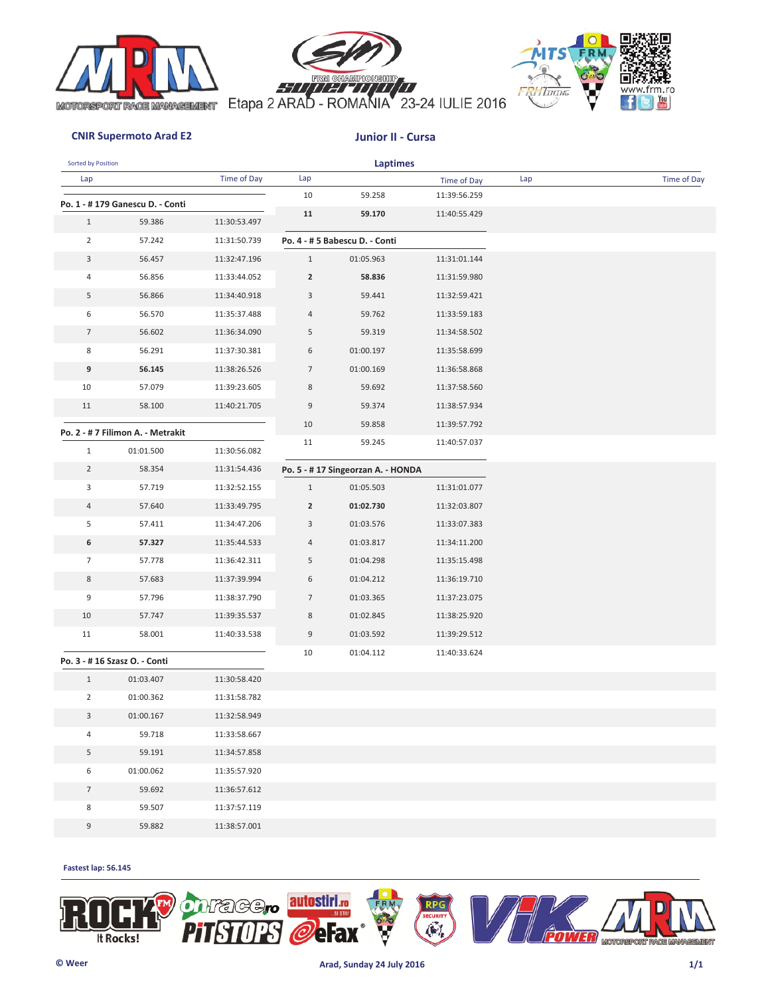





### **CNIR Supermoto Arad E2 Junior II - Cursa**

| Sorted by Position |                                   |              |                | <b>Laptimes</b>                   |              |     |             |
|--------------------|-----------------------------------|--------------|----------------|-----------------------------------|--------------|-----|-------------|
| Lap                |                                   | Time of Day  | Lap            |                                   | Time of Day  | Lap | Time of Day |
|                    | Po. 1 - #179 Ganescu D. - Conti   |              | 10             | 59.258                            | 11:39:56.259 |     |             |
| $\mathbf{1}$       | 59.386                            | 11:30:53.497 | 11             | 59.170                            | 11:40:55.429 |     |             |
| $\overline{2}$     | 57.242                            | 11:31:50.739 |                | Po. 4 - # 5 Babescu D. - Conti    |              |     |             |
| 3                  | 56.457                            | 11:32:47.196 | $\mathbf{1}$   | 01:05.963                         | 11:31:01.144 |     |             |
| 4                  | 56.856                            | 11:33:44.052 | $\overline{2}$ | 58.836                            | 11:31:59.980 |     |             |
| 5                  | 56.866                            | 11:34:40.918 | 3              | 59.441                            | 11:32:59.421 |     |             |
| 6                  | 56.570                            | 11:35:37.488 | 4              | 59.762                            | 11:33:59.183 |     |             |
| $\overline{7}$     | 56.602                            | 11:36:34.090 | 5              | 59.319                            | 11:34:58.502 |     |             |
| 8                  | 56.291                            | 11:37:30.381 | 6              | 01:00.197                         | 11:35:58.699 |     |             |
| 9                  | 56.145                            | 11:38:26.526 | $\overline{7}$ | 01:00.169                         | 11:36:58.868 |     |             |
| 10                 | 57.079                            | 11:39:23.605 | 8              | 59.692                            | 11:37:58.560 |     |             |
| 11                 | 58.100                            | 11:40:21.705 | 9              | 59.374                            | 11:38:57.934 |     |             |
|                    |                                   |              | 10             | 59.858                            | 11:39:57.792 |     |             |
|                    | Po. 2 - # 7 Filimon A. - Metrakit |              | 11             | 59.245                            | 11:40:57.037 |     |             |
| $\mathbf{1}$       | 01:01.500                         | 11:30:56.082 |                |                                   |              |     |             |
| $\overline{2}$     | 58.354                            | 11:31:54.436 |                | Po. 5 - #17 Singeorzan A. - HONDA |              |     |             |
| 3                  | 57.719                            | 11:32:52.155 | $\mathbf{1}$   | 01:05.503                         | 11:31:01.077 |     |             |
| $\overline{4}$     | 57.640                            | 11:33:49.795 | $\overline{2}$ | 01:02.730                         | 11:32:03.807 |     |             |
| 5                  | 57.411                            | 11:34:47.206 | 3              | 01:03.576                         | 11:33:07.383 |     |             |
| 6                  | 57.327                            | 11:35:44.533 | 4              | 01:03.817                         | 11:34:11.200 |     |             |
| $\overline{7}$     | 57.778                            | 11:36:42.311 | 5              | 01:04.298                         | 11:35:15.498 |     |             |
| 8                  | 57.683                            | 11:37:39.994 | 6              | 01:04.212                         | 11:36:19.710 |     |             |
| 9                  | 57.796                            | 11:38:37.790 | $\overline{7}$ | 01:03.365                         | 11:37:23.075 |     |             |
| 10                 | 57.747                            | 11:39:35.537 | 8              | 01:02.845                         | 11:38:25.920 |     |             |
| 11                 | 58.001                            | 11:40:33.538 | 9              | 01:03.592                         | 11:39:29.512 |     |             |
|                    | Po. 3 - #16 Szasz O. - Conti      |              | 10             | 01:04.112                         | 11:40:33.624 |     |             |
| $\mathbf{1}$       | 01:03.407                         | 11:30:58.420 |                |                                   |              |     |             |
| $\overline{2}$     | 01:00.362                         | 11:31:58.782 |                |                                   |              |     |             |
| 3                  | 01:00.167                         | 11:32:58.949 |                |                                   |              |     |             |
| 4                  | 59.718                            | 11:33:58.667 |                |                                   |              |     |             |
| 5                  | 59.191                            | 11:34:57.858 |                |                                   |              |     |             |
| 6                  | 01:00.062                         | 11:35:57.920 |                |                                   |              |     |             |
| $7\overline{ }$    | 59.692                            | 11:36:57.612 |                |                                   |              |     |             |
| 8                  | 59.507                            | 11:37:57.119 |                |                                   |              |     |             |
| $\boldsymbol{9}$   | 59.882                            | 11:38:57.001 |                |                                   |              |     |             |

**Fastest lap: 56.145** 

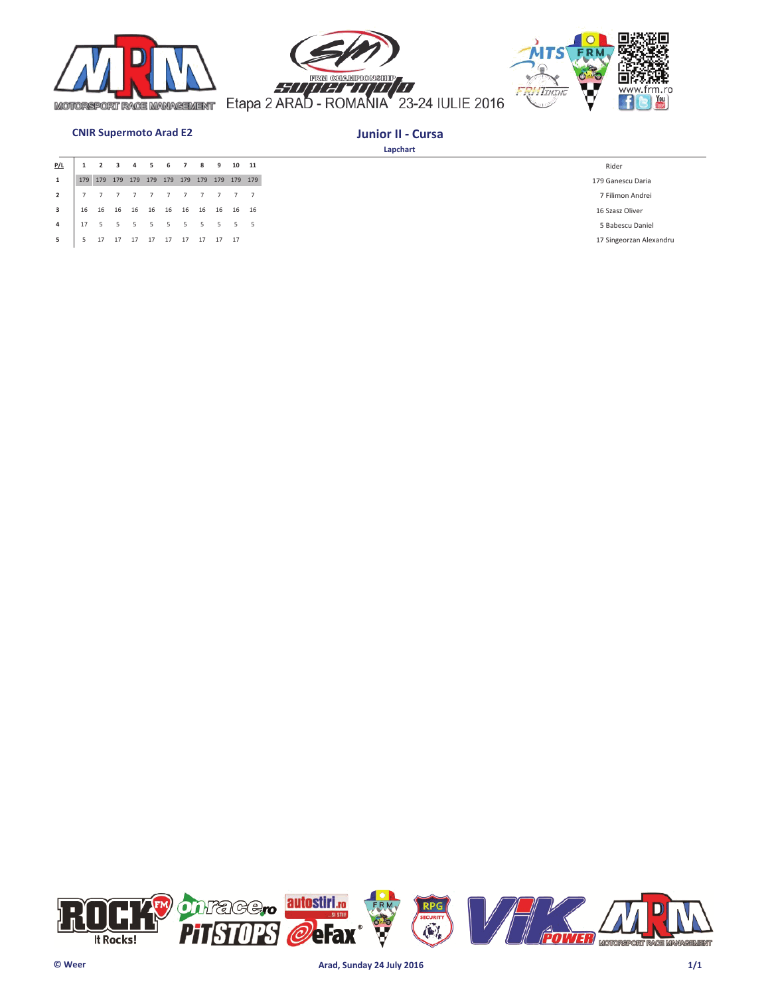





# **CNIR Supermoto Arad E2 Junior II - Cursa**

| P/L            |    |    |       |    | ь.                     | 8 | -9       | 10 11 |
|----------------|----|----|-------|----|------------------------|---|----------|-------|
| $\mathbf{1}$   |    |    |       |    |                        |   |          |       |
| $\overline{2}$ |    |    |       |    |                        |   |          |       |
| 3              | 16 | 16 | 16 16 |    | 16  16  16  16  16  16 |   |          |       |
| 4              |    |    |       |    |                        |   |          | 55    |
| 5              |    | 17 | 17    | 17 | 17  17  17             |   | 17 17 17 |       |

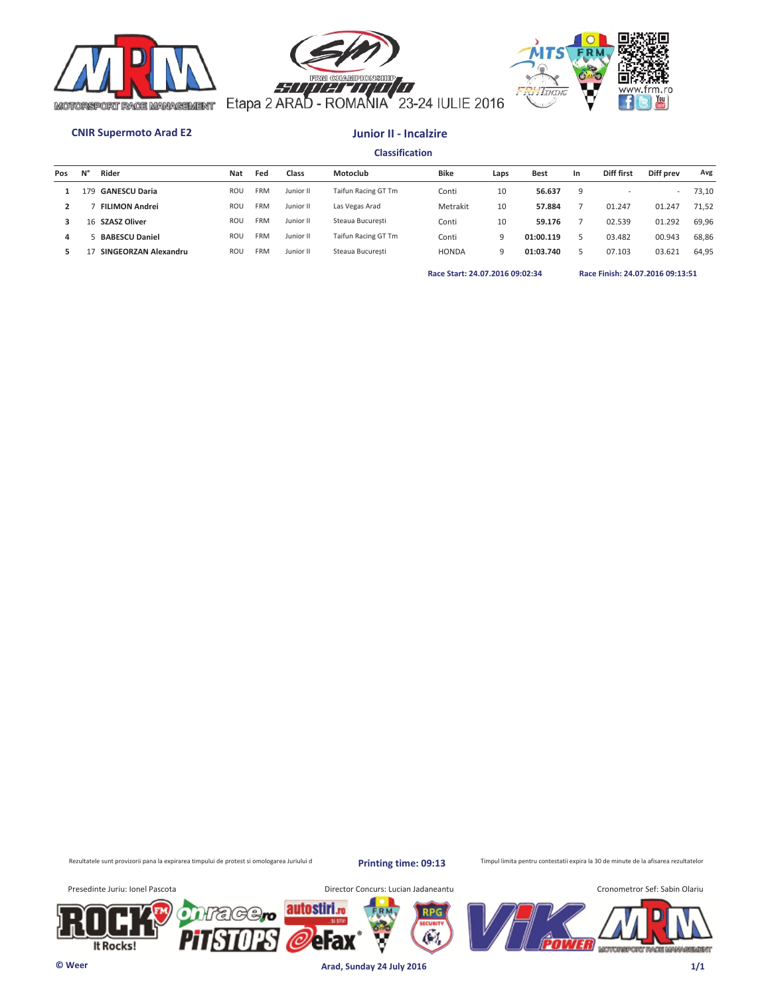





### **CNIR Supermoto Arad E2 Junior II - Incalzire**

**Classification**

| Pos | Ν° | Rider                 | <b>Nat</b> | Fed        | Class     | Motoclub            | Bike         | Laps | <b>Best</b> | In | Diff first | Diff prev                | Avg   |
|-----|----|-----------------------|------------|------------|-----------|---------------------|--------------|------|-------------|----|------------|--------------------------|-------|
|     | 79 | <b>GANESCU Daria</b>  | <b>ROU</b> | FRM        | Junior II | Taifun Racing GT Tm | Conti        | 10   | 56.637      | 9  |            | $\overline{\phantom{a}}$ | 73,10 |
|     |    | <b>FILIMON Andrei</b> | <b>ROU</b> | <b>FRM</b> | Junior II | Las Vegas Arad      | Metrakit     | 10   | 57.884      |    | 01.247     | 01.247                   | 71.52 |
|     | 16 | <b>SZASZ Oliver</b>   | <b>ROU</b> | <b>FRM</b> | Junior II | Steaua Bucuresti    | Conti        | 10   | 59.176      |    | 02.539     | 01.292                   | 69.96 |
| 4   |    | <b>BABESCU Daniel</b> | <b>ROU</b> | <b>FRM</b> | Junior II | Taifun Racing GT Tm | Conti        | 9    | 01:00.119   |    | 03.482     | 00.943                   | 68,86 |
|     |    | SINGEORZAN Alexandru  | <b>ROU</b> | <b>FRM</b> | Junior II | Steaua Bucuresti    | <b>HONDA</b> | 9    | 01:03.740   |    | 07.103     | 03.621                   | 64,95 |
|     |    |                       |            |            |           |                     |              |      |             |    |            |                          |       |

**Race Start: 24.07.2016 09:02:34 Race Finish: 24.07.2016 09:13:51** 

Rezultatele sunt provizorii pana la expirarea timpului de protest si omologarea Juriului d

**Printing time: 09:13**

Timpul limita pentru contestatii expira la 30 de minute de la afisarea rezultatelor

It Rocks!



**© Weer Arad, Sunday 24 July 2016 1/1**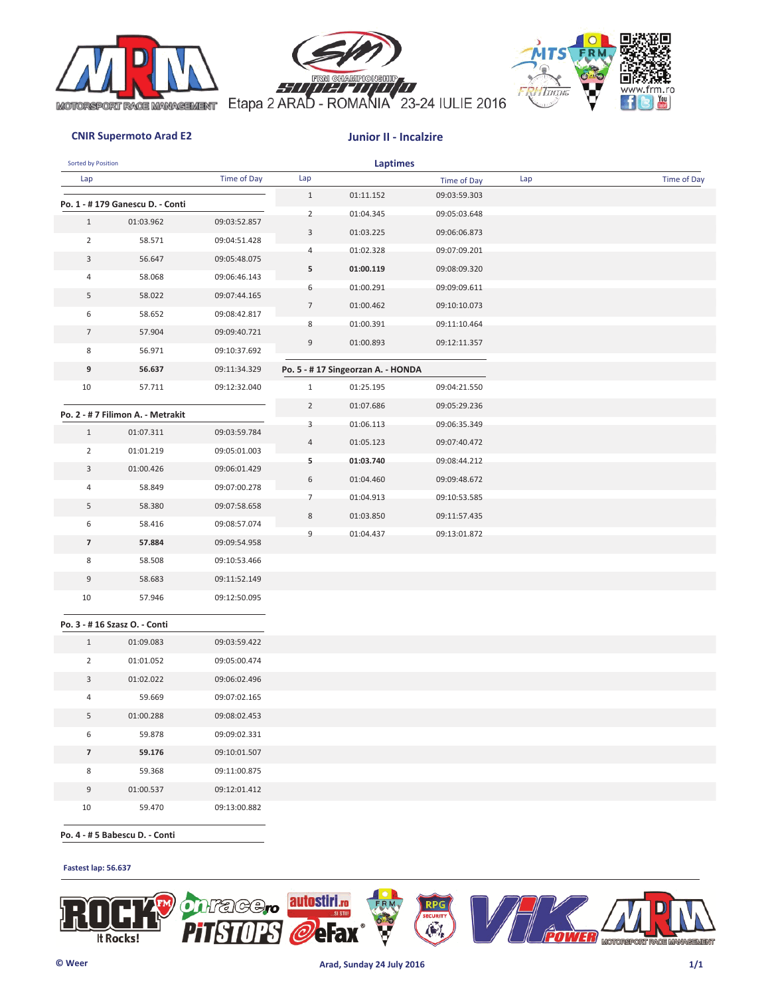





### **CNIR Supermoto Arad E2 Junior II - Incalzire**

| Sorted by Position |                                   |              |                | Laptimes                           |              |     |             |
|--------------------|-----------------------------------|--------------|----------------|------------------------------------|--------------|-----|-------------|
| Lap                |                                   | Time of Day  | Lap            |                                    | Time of Day  | Lap | Time of Day |
|                    | Po. 1 - #179 Ganescu D. - Conti   |              | $\mathbf{1}$   | 01:11.152                          | 09:03:59.303 |     |             |
| $\mathbf{1}$       | 01:03.962                         | 09:03:52.857 | $\overline{2}$ | 01:04.345                          | 09:05:03.648 |     |             |
| $\overline{2}$     | 58.571                            | 09:04:51.428 | 3              | 01:03.225                          | 09:06:06.873 |     |             |
| 3                  | 56.647                            | 09:05:48.075 | 4              | 01:02.328                          | 09:07:09.201 |     |             |
| 4                  | 58.068                            | 09:06:46.143 | 5              | 01:00.119                          | 09:08:09.320 |     |             |
| 5                  | 58.022                            | 09:07:44.165 | 6              | 01:00.291                          | 09:09:09.611 |     |             |
| 6                  | 58.652                            | 09:08:42.817 | 7              | 01:00.462                          | 09:10:10.073 |     |             |
| $\overline{7}$     | 57.904                            | 09:09:40.721 | 8              | 01:00.391                          | 09:11:10.464 |     |             |
| 8                  | 56.971                            | 09:10:37.692 | 9              | 01:00.893                          | 09:12:11.357 |     |             |
| 9                  | 56.637                            | 09:11:34.329 |                | Po. 5 - # 17 Singeorzan A. - HONDA |              |     |             |
| 10                 | 57.711                            | 09:12:32.040 | $\mathbf{1}$   | 01:25.195                          | 09:04:21.550 |     |             |
|                    |                                   |              | $\overline{2}$ | 01:07.686                          | 09:05:29.236 |     |             |
|                    | Po. 2 - # 7 Filimon A. - Metrakit |              | 3              | 01:06.113                          | 09:06:35.349 |     |             |
| $\mathbf{1}$       | 01:07.311                         | 09:03:59.784 | 4              | 01:05.123                          | 09:07:40.472 |     |             |
| $\overline{2}$     | 01:01.219                         | 09:05:01.003 | 5              | 01:03.740                          | 09:08:44.212 |     |             |
| 3                  | 01:00.426                         | 09:06:01.429 | 6              | 01:04.460                          | 09:09:48.672 |     |             |
| 4                  | 58.849                            | 09:07:00.278 | $\overline{7}$ | 01:04.913                          | 09:10:53.585 |     |             |
| 5                  | 58.380                            | 09:07:58.658 | 8              | 01:03.850                          | 09:11:57.435 |     |             |
| 6                  | 58.416                            | 09:08:57.074 | 9              | 01:04.437                          | 09:13:01.872 |     |             |
| $\overline{7}$     | 57.884                            | 09:09:54.958 |                |                                    |              |     |             |
| 8                  | 58.508                            | 09:10:53.466 |                |                                    |              |     |             |
| 9                  | 58.683                            | 09:11:52.149 |                |                                    |              |     |             |
| 10                 | 57.946                            | 09:12:50.095 |                |                                    |              |     |             |
|                    | Po. 3 - #16 Szasz O. - Conti      |              |                |                                    |              |     |             |
| $\mathbf{1}$       | 01:09.083                         | 09:03:59.422 |                |                                    |              |     |             |
| $\overline{2}$     | 01:01.052                         | 09:05:00.474 |                |                                    |              |     |             |
| 3                  | 01:02.022                         | 09:06:02.496 |                |                                    |              |     |             |
| 4                  | 59.669                            | 09:07:02.165 |                |                                    |              |     |             |
| 5                  | 01:00.288                         | 09:08:02.453 |                |                                    |              |     |             |
| 6                  | 59.878                            | 09:09:02.331 |                |                                    |              |     |             |
| $\overline{7}$     | 59.176                            | 09:10:01.507 |                |                                    |              |     |             |
| 8                  | 59.368                            | 09:11:00.875 |                |                                    |              |     |             |
| 9                  | 01:00.537                         | 09:12:01.412 |                |                                    |              |     |             |
| 10                 | 59.470                            | 09:13:00.882 |                |                                    |              |     |             |
|                    |                                   |              |                |                                    |              |     |             |

 **Po. 4 - # 5 Babescu D. - Conti**

### **Fastest lap: 56.637**

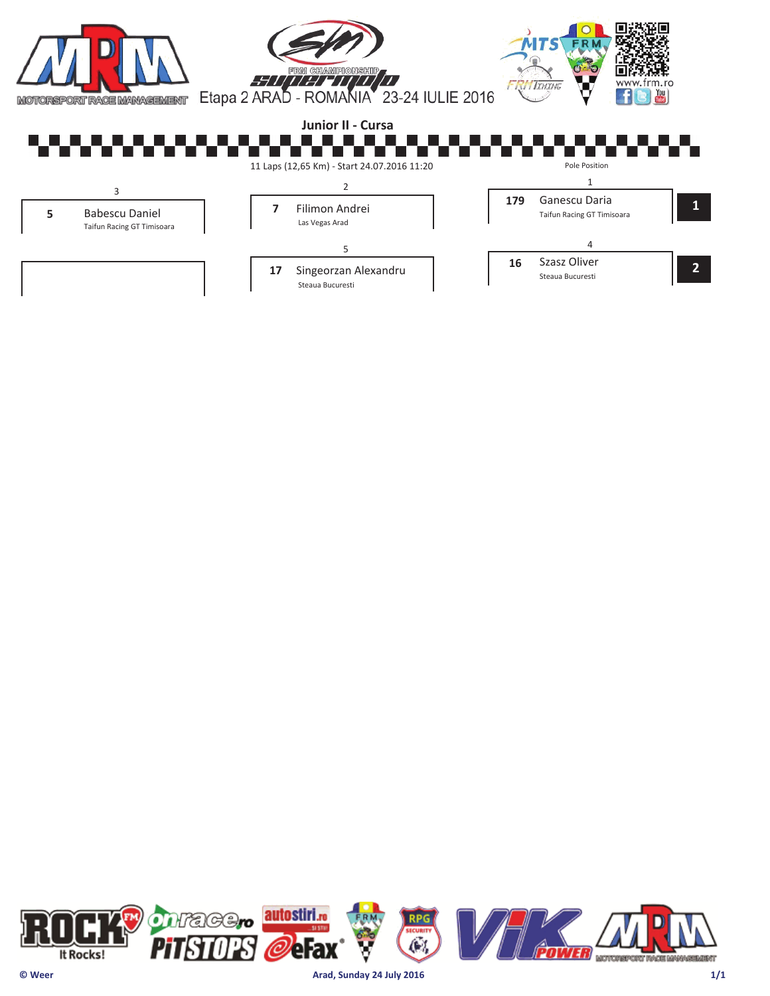

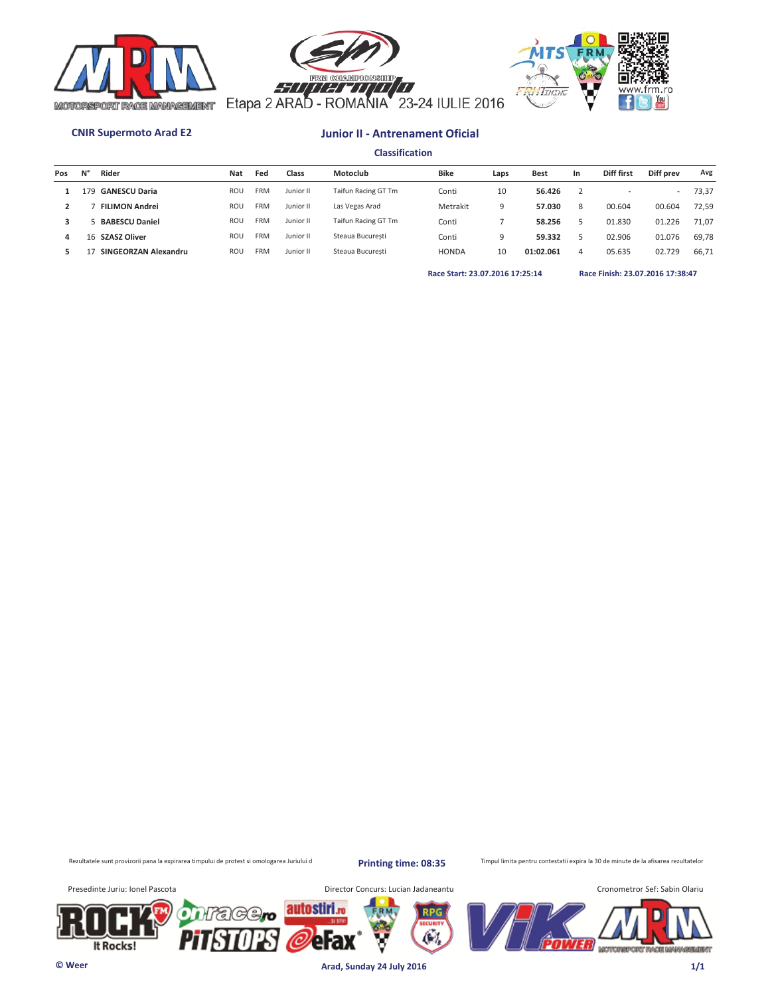





**Classification**

| Pos | N' | Rider                 | <b>Nat</b> | Fed        | Class     | Motoclub            | <b>Bike</b>  | Laps | <b>Best</b> | In | Diff first | Diff prev | Avg   |
|-----|----|-----------------------|------------|------------|-----------|---------------------|--------------|------|-------------|----|------------|-----------|-------|
|     | 79 | <b>GANESCU Daria</b>  | <b>ROU</b> | <b>FRM</b> | Junior II | Taifun Racing GT Tm | Conti        | 10   | 56.426      |    |            | $\sim$    | 73.37 |
|     |    | <b>FILIMON Andrei</b> | <b>ROU</b> | FRM        | Junior II | Las Vegas Arad      | Metrakit     | 9    | 57.030      | 8  | 00.604     | 00.604    | 72.59 |
|     |    | <b>BABESCU Daniel</b> | <b>ROU</b> | FRM        | Junior II | Taifun Racing GT Tm | Conti        |      | 58.256      |    | 01.830     | 01.226    | 71.07 |
| 4   |    | 16 SZASZ Oliver       | <b>ROU</b> | FRM        | Junior II | Steaua Bucuresti    | Conti        | O    | 59.332      |    | 02.906     | 01.076    | 69,78 |
|     |    | SINGEORZAN Alexandru  | <b>ROU</b> | FRM        | Junior II | Steaua Bucuresti    | <b>HONDA</b> | 10   | 01:02.061   | 4  | 05.635     | 02.729    | 66,71 |
|     |    |                       |            |            |           |                     |              |      |             |    |            |           |       |

**Race Start: 23.07.2016 17:25:14 Race Finish: 23.07.2016 17:38:47** 

Rezultatele sunt provizorii pana la expirarea timpului de protest si omologarea Juriului d

**Printing time: 08:35**

Æ.

Timpul limita pentru contestatii expira la 30 de minute de la afisarea rezultatelor

It Rocks!

Presedinte Juriu: Ionel Pascota **Director Concurs: Lucian Jadaneantu** 



**© Weer Arad, Sunday 24 July 2016 1/1**

autostiri.<sub>ro</sub>

erax

'C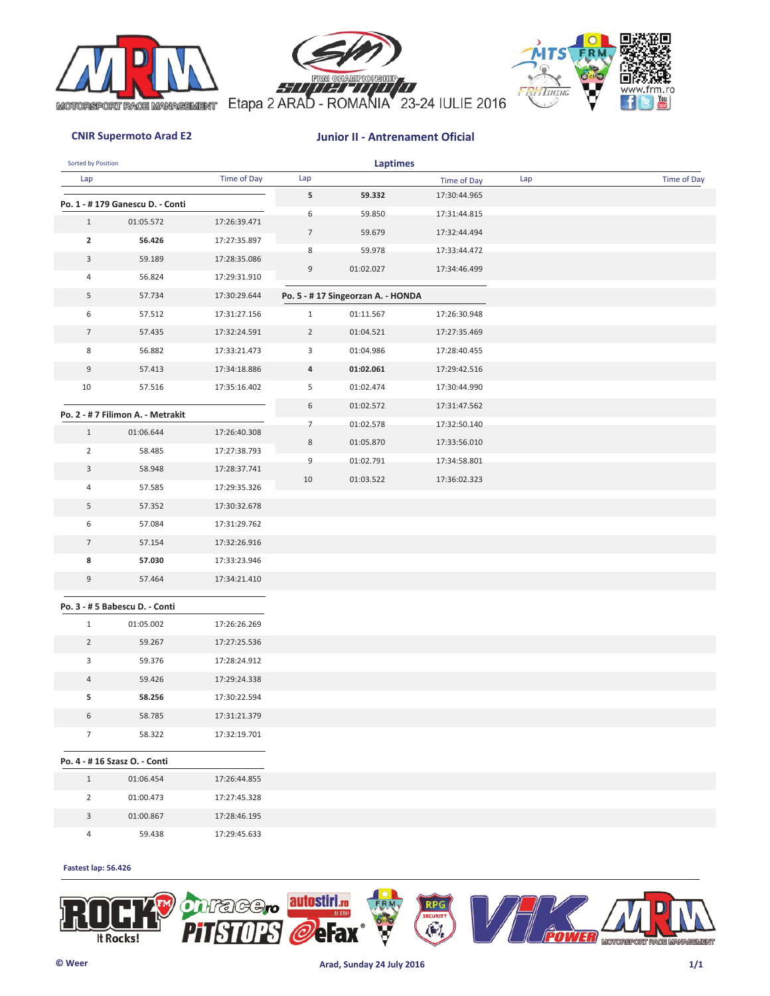





| Sorted by Position      |                                   |              |                | <b>Laptimes</b>                   |              |     |             |
|-------------------------|-----------------------------------|--------------|----------------|-----------------------------------|--------------|-----|-------------|
| Lap                     |                                   | Time of Day  | Lap            |                                   | Time of Day  | Lap | Time of Day |
|                         | Po. 1 - # 179 Ganescu D. - Conti  |              | 5              | 59.332                            | 17:30:44.965 |     |             |
| $\mathbf{1}$            | 01:05.572                         | 17:26:39.471 | 6              | 59.850                            | 17:31:44.815 |     |             |
| $\overline{\mathbf{2}}$ | 56.426                            | 17:27:35.897 | $\overline{7}$ | 59.679                            | 17:32:44.494 |     |             |
| 3                       | 59.189                            | 17:28:35.086 | 8              | 59.978                            | 17:33:44.472 |     |             |
| 4                       | 56.824                            | 17:29:31.910 | 9              | 01:02.027                         | 17:34:46.499 |     |             |
| 5                       | 57.734                            | 17:30:29.644 |                | Po. 5 - #17 Singeorzan A. - HONDA |              |     |             |
| 6                       | 57.512                            | 17:31:27.156 | $\mathbf{1}$   | 01:11.567                         | 17:26:30.948 |     |             |
| $\overline{7}$          | 57.435                            | 17:32:24.591 | $\overline{2}$ | 01:04.521                         | 17:27:35.469 |     |             |
| 8                       | 56.882                            | 17:33:21.473 | 3              | 01:04.986                         | 17:28:40.455 |     |             |
| 9                       | 57.413                            | 17:34:18.886 | 4              | 01:02.061                         | 17:29:42.516 |     |             |
| 10                      | 57.516                            | 17:35:16.402 | 5              | 01:02.474                         | 17:30:44.990 |     |             |
|                         |                                   |              | 6              | 01:02.572                         | 17:31:47.562 |     |             |
|                         | Po. 2 - # 7 Filimon A. - Metrakit |              | $\overline{7}$ | 01:02.578                         | 17:32:50.140 |     |             |
| $\mathbf{1}$            | 01:06.644                         | 17:26:40.308 | 8              | 01:05.870                         | 17:33:56.010 |     |             |
| $\overline{2}$          | 58.485                            | 17:27:38.793 | 9              | 01:02.791                         | 17:34:58.801 |     |             |
| 3                       | 58.948                            | 17:28:37.741 | 10             | 01:03.522                         | 17:36:02.323 |     |             |
| 4                       | 57.585                            | 17:29:35.326 |                |                                   |              |     |             |
| 5                       | 57.352                            | 17:30:32.678 |                |                                   |              |     |             |
| 6                       | 57.084                            | 17:31:29.762 |                |                                   |              |     |             |
| $\overline{7}$          | 57.154                            | 17:32:26.916 |                |                                   |              |     |             |
| 8                       | 57.030                            | 17:33:23.946 |                |                                   |              |     |             |
| 9                       | 57.464                            | 17:34:21.410 |                |                                   |              |     |             |
|                         | Po. 3 - # 5 Babescu D. - Conti    |              |                |                                   |              |     |             |
| $\mathbf{1}$            | 01:05.002                         | 17:26:26.269 |                |                                   |              |     |             |
| $\overline{2}$          | 59.267                            | 17:27:25.536 |                |                                   |              |     |             |
| 3                       | 59.376                            | 17:28:24.912 |                |                                   |              |     |             |
| 4                       | 59.426                            | 17:29:24.338 |                |                                   |              |     |             |
| 5                       | 58.256                            | 17:30:22.594 |                |                                   |              |     |             |
| 6                       | 58.785                            | 17:31:21.379 |                |                                   |              |     |             |
| $7\overline{ }$         | 58.322                            | 17:32:19.701 |                |                                   |              |     |             |
|                         | Po. 4 - #16 Szasz O. - Conti      |              |                |                                   |              |     |             |
| $\mathbf{1}$            | 01:06.454                         | 17:26:44.855 |                |                                   |              |     |             |
| $\overline{2}$          | 01:00.473                         | 17:27:45.328 |                |                                   |              |     |             |
| $\mathbf{3}$            | 01:00.867                         | 17:28:46.195 |                |                                   |              |     |             |
| $\overline{4}$          | 59.438                            | 17:29:45.633 |                |                                   |              |     |             |

### **Fastest lap: 56.426**

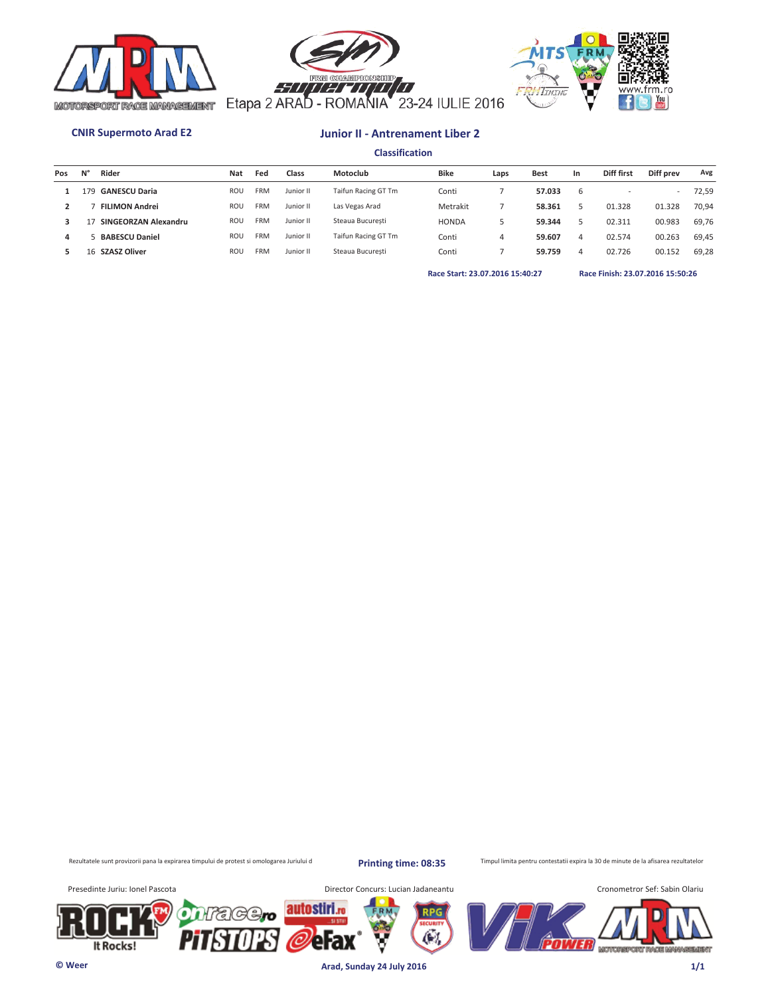





**Classification**

| Taifun Racing GT Tm<br>Conti<br>Metrakit |   | 57.033 | b |        | $\overline{\phantom{a}}$ | 72,59 |
|------------------------------------------|---|--------|---|--------|--------------------------|-------|
|                                          |   |        |   |        |                          |       |
|                                          |   | 58.361 |   | 01.328 | 01.328                   | 70.94 |
| <b>HONDA</b>                             |   | 59.344 |   | 02.311 | 00.983                   | 69.76 |
| Taifun Racing GT Tm<br>Conti             | 4 | 59.607 | 4 | 02.574 | 00.263                   | 69.45 |
| Conti                                    |   | 59.759 | 4 | 02.726 | 00.152                   | 69,28 |
|                                          |   |        |   |        |                          |       |

**Race Start: 23.07.2016 15:40:27 Race Finish: 23.07.2016 15:50:26** 

Rezultatele sunt provizorii pana la expirarea timpului de protest si omologarea Juriului d

**Printing time: 08:35**

Timpul limita pentru contestatii expira la 30 de minute de la afisarea rezultatelor

It Rocks!

Presedinte Juriu: Ionel Pascota **Director Concurs: Lucian Jadaneantu** 



**© Weer Arad, Sunday 24 July 2016 1/1**

autostiri.<sub>ro</sub>

erax

'C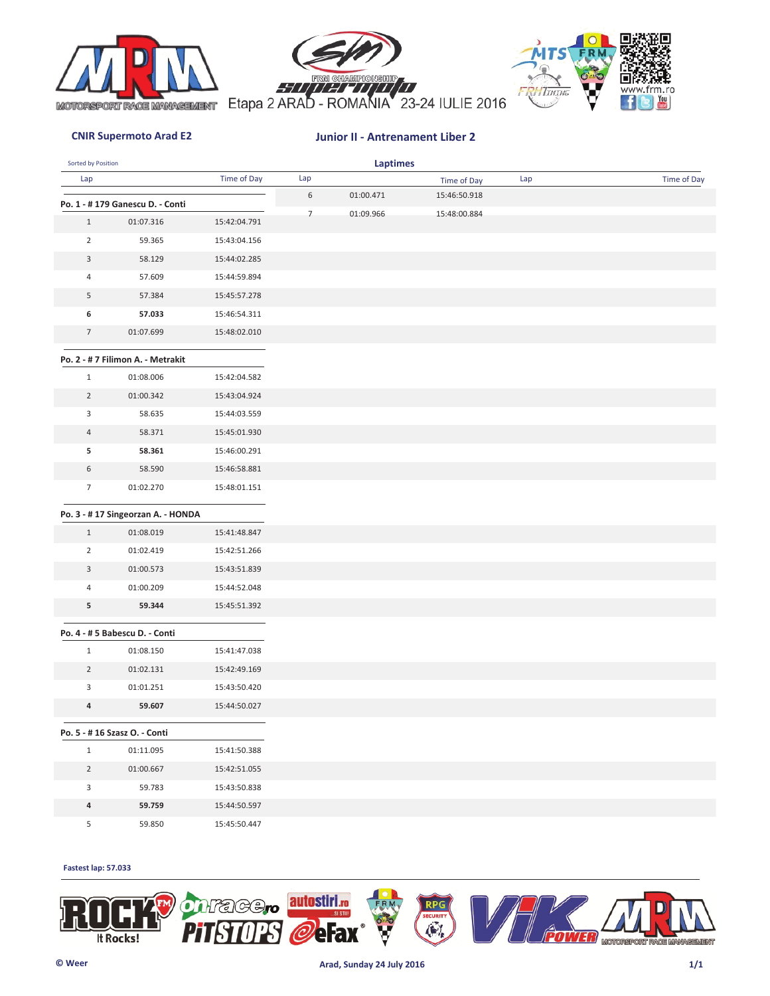





| Sorted by Position |                                   |              |                | <b>Laptimes</b> |              |     |             |
|--------------------|-----------------------------------|--------------|----------------|-----------------|--------------|-----|-------------|
| Lap                |                                   | Time of Day  | Lap            |                 | Time of Day  | Lap | Time of Day |
|                    | Po. 1 - #179 Ganescu D. - Conti   |              | 6              | 01:00.471       | 15:46:50.918 |     |             |
| $\mathbf{1}$       | 01:07.316                         | 15:42:04.791 | $\overline{7}$ | 01:09.966       | 15:48:00.884 |     |             |
| $\overline{2}$     | 59.365                            | 15:43:04.156 |                |                 |              |     |             |
| $\mathbf{3}$       | 58.129                            | 15:44:02.285 |                |                 |              |     |             |
| 4                  | 57.609                            | 15:44:59.894 |                |                 |              |     |             |
| 5                  | 57.384                            | 15:45:57.278 |                |                 |              |     |             |
| 6                  | 57.033                            | 15:46:54.311 |                |                 |              |     |             |
| $\overline{7}$     | 01:07.699                         | 15:48:02.010 |                |                 |              |     |             |
|                    |                                   |              |                |                 |              |     |             |
|                    | Po. 2 - # 7 Filimon A. - Metrakit |              |                |                 |              |     |             |
| $\mathbf{1}$       | 01:08.006                         | 15:42:04.582 |                |                 |              |     |             |
| $\overline{2}$     | 01:00.342                         | 15:43:04.924 |                |                 |              |     |             |
| 3                  | 58.635                            | 15:44:03.559 |                |                 |              |     |             |
| $\overline{4}$     | 58.371                            | 15:45:01.930 |                |                 |              |     |             |
| 5                  | 58.361                            | 15:46:00.291 |                |                 |              |     |             |
| 6                  | 58.590                            | 15:46:58.881 |                |                 |              |     |             |
| $7\overline{ }$    | 01:02.270                         | 15:48:01.151 |                |                 |              |     |             |
|                    | Po. 3 - #17 Singeorzan A. - HONDA |              |                |                 |              |     |             |
| $\mathbf{1}$       | 01:08.019                         | 15:41:48.847 |                |                 |              |     |             |
| $\overline{2}$     | 01:02.419                         | 15:42:51.266 |                |                 |              |     |             |
| 3                  | 01:00.573                         | 15:43:51.839 |                |                 |              |     |             |
| $\overline{4}$     | 01:00.209                         | 15:44:52.048 |                |                 |              |     |             |
| 5                  | 59.344                            | 15:45:51.392 |                |                 |              |     |             |
|                    |                                   |              |                |                 |              |     |             |
|                    | Po. 4 - # 5 Babescu D. - Conti    |              |                |                 |              |     |             |
| $\mathbf{1}$       | 01:08.150                         | 15:41:47.038 |                |                 |              |     |             |
| $\overline{2}$     | 01:02.131                         | 15:42:49.169 |                |                 |              |     |             |
| 3                  | 01:01.251                         | 15:43:50.420 |                |                 |              |     |             |
| 4                  | 59.607                            | 15:44:50.027 |                |                 |              |     |             |
|                    | Po. 5 - #16 Szasz O. - Conti      |              |                |                 |              |     |             |
| $\mathbf{1}$       | 01:11.095                         | 15:41:50.388 |                |                 |              |     |             |
| $\overline{2}$     | 01:00.667                         | 15:42:51.055 |                |                 |              |     |             |
| 3                  | 59.783                            | 15:43:50.838 |                |                 |              |     |             |
| 4                  | 59.759                            | 15:44:50.597 |                |                 |              |     |             |
| $5\phantom{.0}$    | 59.850                            | 15:45:50.447 |                |                 |              |     |             |
|                    |                                   |              |                |                 |              |     |             |

### **Fastest lap: 57.033**

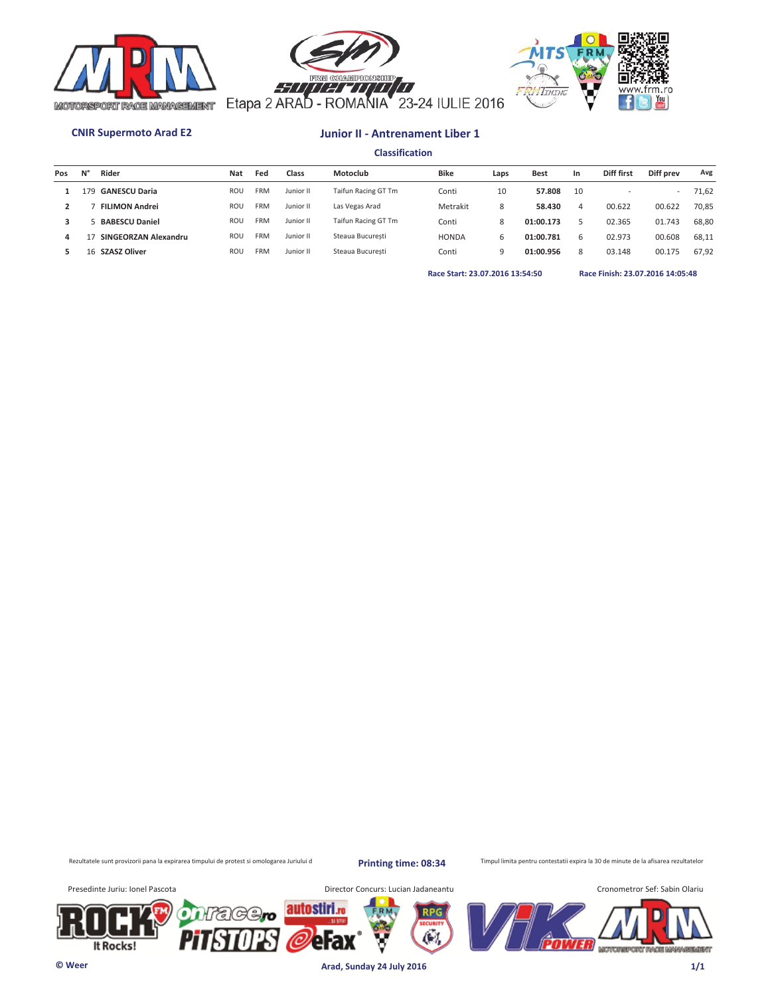





**Classification**

| Pos | N° | Rider                 | <b>Nat</b> | Fed        | Class     | Motoclub            | <b>Bike</b>  | Laps | <b>Best</b> | In. | Diff first | Diff prev                | Avg   |
|-----|----|-----------------------|------------|------------|-----------|---------------------|--------------|------|-------------|-----|------------|--------------------------|-------|
|     | 79 | <b>GANESCU Daria</b>  | <b>ROU</b> | <b>FRM</b> | Junior II | Taifun Racing GT Tm | Conti        | 10   | 57.808      | 10  |            | $\overline{\phantom{a}}$ | 71,62 |
|     |    | <b>FILIMON Andrei</b> | <b>ROU</b> | <b>FRM</b> | Junior II | Las Vegas Arad      | Metrakit     | 8    | 58.430      | 4   | 00.622     | 00.622                   | 70.85 |
|     |    | <b>BABESCU Daniel</b> | <b>ROU</b> | <b>FRM</b> | Junior II | Taifun Racing GT Tm | Conti        | 8    | 01:00.173   |     | 02.365     | 01.743                   | 68.80 |
| 4   |    | SINGEORZAN Alexandru  | <b>ROU</b> | <b>FRM</b> | Junior II | Steaua Bucuresti    | <b>HONDA</b> | 6    | 01:00.781   | 6   | 02.973     | 00.608                   | 68.11 |
|     | 16 | <b>SZASZ Oliver</b>   | <b>ROU</b> | <b>FRM</b> | Junior II | Steaua Bucuresti    | Conti        | a    | 01:00.956   | 8   | 03.148     | 00.175                   | 67.92 |
|     |    |                       |            |            |           |                     |              |      |             |     |            |                          |       |

**Race Start: 23.07.2016 13:54:50 Race Finish: 23.07.2016 14:05:48** 

Rezultatele sunt provizorii pana la expirarea timpului de protest si omologarea Juriului d

**Printing time: 08:34**

Timpul limita pentru contestatii expira la 30 de minute de la afisarea rezultatelor

It Rocks!

Presedinte Juriu: Ionel Pascota **Director Concurs: Lucian Jadaneantu** 



**© Weer Arad, Sunday 24 July 2016 1/1**

autostiri.<sub>ro</sub>

erax

'C